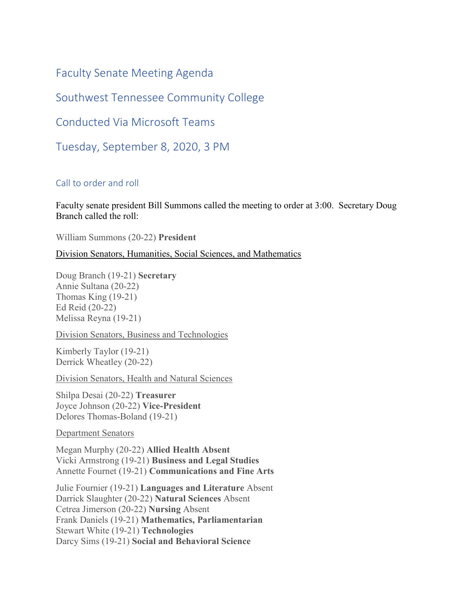Faculty Senate Meeting Agenda

Southwest Tennessee Community College

Conducted Via Microsoft Teams

Tuesday, September 8, 2020, 3 PM

# Call to order and roll

Faculty senate president Bill Summons called the meeting to order at 3:00. Secretary Doug Branch called the roll:

William Summons (20-22) **President** 

## Division Senators, Humanities, Social Sciences, and Mathematics

Doug Branch (19-21) **Secretary** Annie Sultana (20-22) Thomas King (19-21) Ed Reid (20-22) Melissa Reyna (19-21)

Division Senators, Business and Technologies

Kimberly Taylor (19-21) Derrick Wheatley (20-22)

Division Senators, Health and Natural Sciences

Shilpa Desai (20-22) **Treasurer** Joyce Johnson (20-22) **Vice-President** Delores Thomas-Boland (19-21)

Department Senators

Megan Murphy (20-22) **Allied Health Absent** Vicki Armstrong (19-21) **Business and Legal Studies** Annette Fournet (19-21) **Communications and Fine Arts**

Julie Fournier (19-21) **Languages and Literature** Absent Darrick Slaughter (20-22) **Natural Sciences** Absent Cetrea Jimerson (20-22) **Nursing** Absent Frank Daniels (19-21) **Mathematics, Parliamentarian** Stewart White (19-21) **Technologies** Darcy Sims (19-21) **Social and Behavioral Science**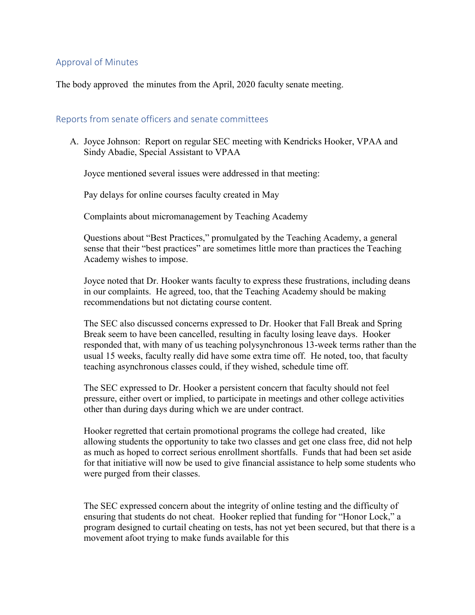# Approval of Minutes

The body approved the minutes from the April, 2020 faculty senate meeting.

### Reports from senate officers and senate committees

A. Joyce Johnson: Report on regular SEC meeting with Kendricks Hooker, VPAA and Sindy Abadie, Special Assistant to VPAA

Joyce mentioned several issues were addressed in that meeting:

Pay delays for online courses faculty created in May

Complaints about micromanagement by Teaching Academy

Questions about "Best Practices," promulgated by the Teaching Academy, a general sense that their "best practices" are sometimes little more than practices the Teaching Academy wishes to impose.

Joyce noted that Dr. Hooker wants faculty to express these frustrations, including deans in our complaints. He agreed, too, that the Teaching Academy should be making recommendations but not dictating course content.

The SEC also discussed concerns expressed to Dr. Hooker that Fall Break and Spring Break seem to have been cancelled, resulting in faculty losing leave days. Hooker responded that, with many of us teaching polysynchronous 13-week terms rather than the usual 15 weeks, faculty really did have some extra time off. He noted, too, that faculty teaching asynchronous classes could, if they wished, schedule time off.

The SEC expressed to Dr. Hooker a persistent concern that faculty should not feel pressure, either overt or implied, to participate in meetings and other college activities other than during days during which we are under contract.

Hooker regretted that certain promotional programs the college had created, like allowing students the opportunity to take two classes and get one class free, did not help as much as hoped to correct serious enrollment shortfalls. Funds that had been set aside for that initiative will now be used to give financial assistance to help some students who were purged from their classes.

The SEC expressed concern about the integrity of online testing and the difficulty of ensuring that students do not cheat. Hooker replied that funding for "Honor Lock," a program designed to curtail cheating on tests, has not yet been secured, but that there is a movement afoot trying to make funds available for this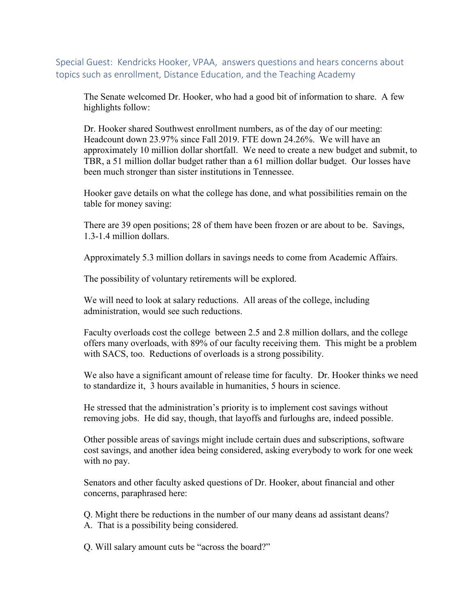Special Guest: Kendricks Hooker, VPAA, answers questions and hears concerns about topics such as enrollment, Distance Education, and the Teaching Academy

The Senate welcomed Dr. Hooker, who had a good bit of information to share. A few highlights follow:

Dr. Hooker shared Southwest enrollment numbers, as of the day of our meeting: Headcount down 23.97% since Fall 2019. FTE down 24.26%. We will have an approximately 10 million dollar shortfall. We need to create a new budget and submit, to TBR, a 51 million dollar budget rather than a 61 million dollar budget. Our losses have been much stronger than sister institutions in Tennessee.

Hooker gave details on what the college has done, and what possibilities remain on the table for money saving:

There are 39 open positions; 28 of them have been frozen or are about to be. Savings, 1.3-1.4 million dollars.

Approximately 5.3 million dollars in savings needs to come from Academic Affairs.

The possibility of voluntary retirements will be explored.

We will need to look at salary reductions. All areas of the college, including administration, would see such reductions.

Faculty overloads cost the college between 2.5 and 2.8 million dollars, and the college offers many overloads, with 89% of our faculty receiving them. This might be a problem with SACS, too. Reductions of overloads is a strong possibility.

We also have a significant amount of release time for faculty. Dr. Hooker thinks we need to standardize it, 3 hours available in humanities, 5 hours in science.

He stressed that the administration's priority is to implement cost savings without removing jobs. He did say, though, that layoffs and furloughs are, indeed possible.

Other possible areas of savings might include certain dues and subscriptions, software cost savings, and another idea being considered, asking everybody to work for one week with no pay.

Senators and other faculty asked questions of Dr. Hooker, about financial and other concerns, paraphrased here:

Q. Might there be reductions in the number of our many deans ad assistant deans? A. That is a possibility being considered.

Q. Will salary amount cuts be "across the board?"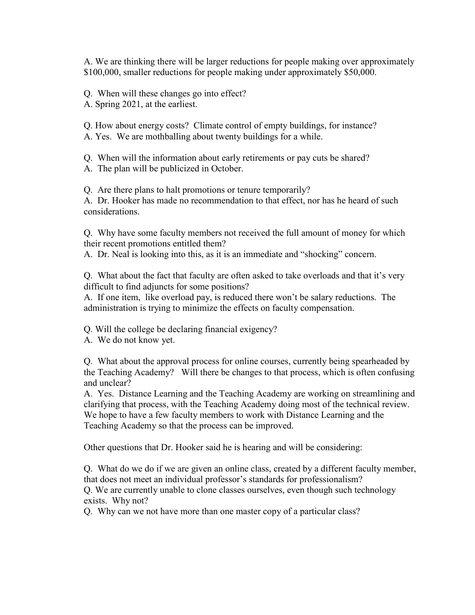A. We are thinking there will be larger reductions for people making over approximately \$100,000, smaller reductions for people making under approximately \$50,000.

Q. When will these changes go into effect? A. Spring 2021, at the earliest.

Q. How about energy costs? Climate control of empty buildings, for instance? A. Yes. We are mothballing about twenty buildings for a while.

Q. When will the information about early retirements or pay cuts be shared?

A. The plan will be publicized in October.

Q. Are there plans to halt promotions or tenure temporarily?

A. Dr. Hooker has made no recommendation to that effect, nor has he heard of such considerations.

Q. Why have some faculty members not received the full amount of money for which their recent promotions entitled them?

A. Dr. Neal is looking into this, as it is an immediate and "shocking" concern.

Q. What about the fact that faculty are often asked to take overloads and that it's very difficult to find adjuncts for some positions?

A. If one item, like overload pay, is reduced there won't be salary reductions. The administration is trying to minimize the effects on faculty compensation.

Q. Will the college be declaring financial exigency?

A. We do not know yet.

Q. What about the approval process for online courses, currently being spearheaded by the Teaching Academy? Will there be changes to that process, which is often confusing and unclear?

A. Yes. Distance Learning and the Teaching Academy are working on streamlining and clarifying that process, with the Teaching Academy doing most of the technical review. We hope to have a few faculty members to work with Distance Learning and the Teaching Academy so that the process can be improved.

Other questions that Dr. Hooker said he is hearing and will be considering:

Q. What do we do if we are given an online class, created by a different faculty member, that does not meet an individual professor's standards for professionalism?

Q. We are currently unable to clone classes ourselves, even though such technology exists. Why not?

Q. Why can we not have more than one master copy of a particular class?